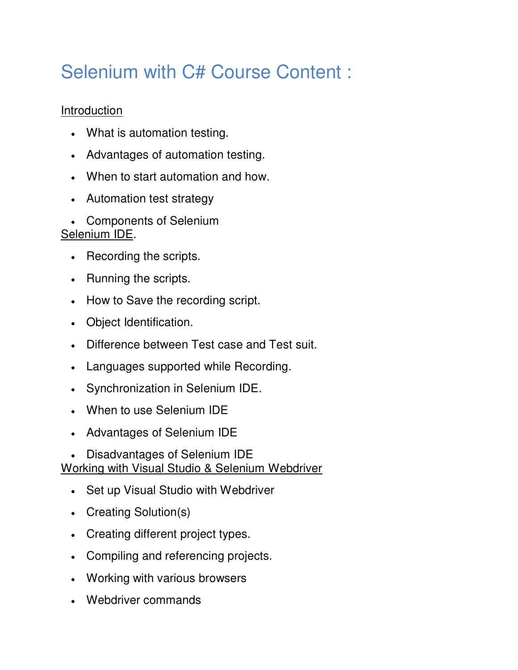# Selenium with C# Course Content :

## **Introduction**

- What is automation testing.
- Advantages of automation testing.
- When to start automation and how.
- Automation test strategy
- Components of Selenium

### Selenium IDE.

- Recording the scripts.
- Running the scripts.
- How to Save the recording script.
- Object Identification.
- Difference between Test case and Test suit.
- Languages supported while Recording.
- Synchronization in Selenium IDE.
- When to use Selenium IDE
- Advantages of Selenium IDE
- Disadvantages of Selenium IDE

Working with Visual Studio & Selenium Webdriver

- Set up Visual Studio with Webdriver
- Creating Solution(s)
- Creating different project types.
- Compiling and referencing projects.
- Working with various browsers
- Webdriver commands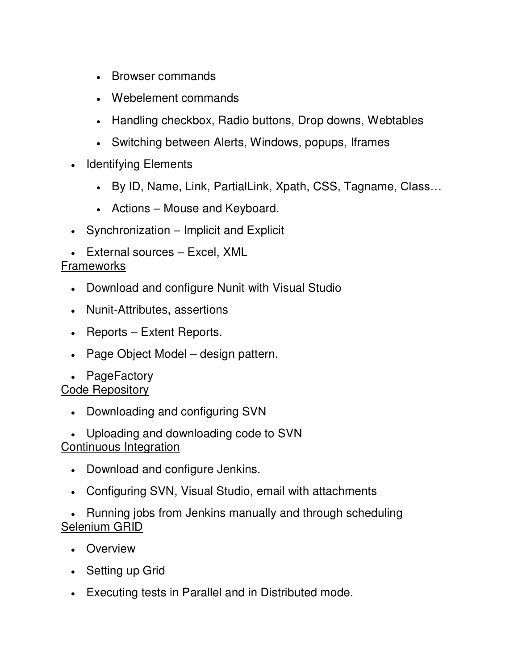- Browser commands
- Webelement commands
- Handling checkbox, Radio buttons, Drop downs, Webtables
- Switching between Alerts, Windows, popups, Iframes
- Identifying Elements
	- By ID, Name, Link, PartialLink, Xpath, CSS, Tagname, Class…
	- Actions Mouse and Keyboard.
- Synchronization Implicit and Explicit
- External sources Excel, XML

### **Frameworks**

- Download and configure Nunit with Visual Studio
- Nunit-Attributes, assertions
- Reports Extent Reports.
- Page Object Model design pattern.
- PageFactory

#### Code Repository

- Downloading and configuring SVN
- Uploading and downloading code to SVN Continuous Integration
	- Download and configure Jenkins.
	- Configuring SVN, Visual Studio, email with attachments
- Running jobs from Jenkins manually and through scheduling Selenium GRID
	- Overview
	- Setting up Grid
	- Executing tests in Parallel and in Distributed mode.